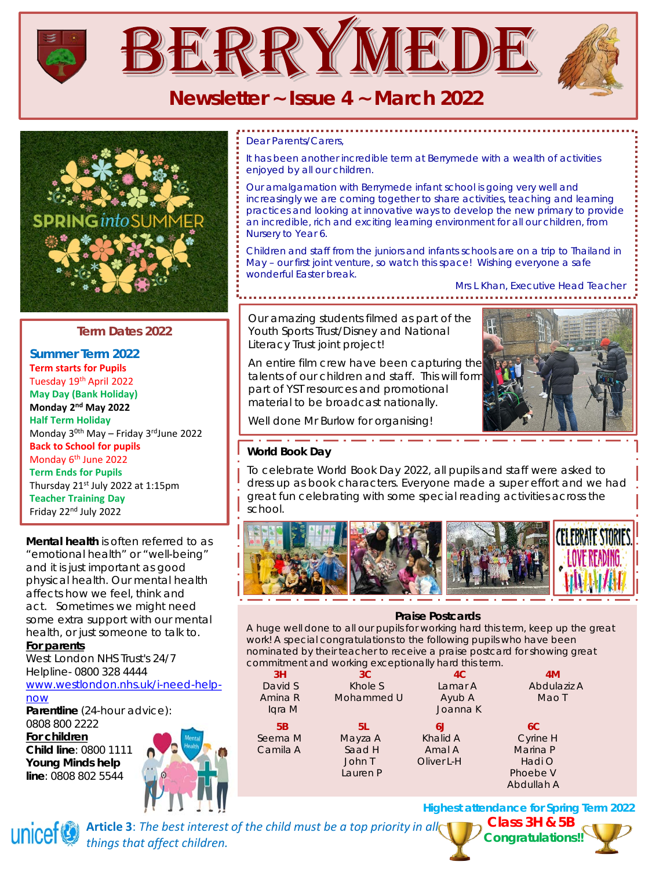





# **Term Dates 2022**

**Summer Term 2022 Term starts for Pupils** Tuesday 19th April 2022 **May Day (Bank Holiday) Monday 2nd May 2022 Half Term Holiday**  Monday 30th May – Friday 3rdJune 2022 **Back to School for pupils**  Monday 6th June 2022 **Term Ends for Pupils** Thursday 21st July 2022 at 1:15pm **Teacher Training Day** Friday 22nd July 2022

**Mental health** is often referred to as "emotional health" or "well-being" and it is just important as good physical health. Our mental health affects how we feel, think and act. Sometimes we might need some extra support with our mental health, or just someone to talk to.

#### **For parents**

West London NHS Trust's 24/7 Helpline- 0800 328 4444

[www.westlondon.nhs.uk/i-need-help](http://www.westlondon.nhs.uk/i-need-help-now)now

**Parentline** (24-hour advice): 0808 800 2222 **For children**

**Child line**: 0800 1111 **Young Minds help line**: 0808 802 5544



#### *Dear Parents/Carers,*

*It has been another incredible term at Berrymede with a wealth of activities enjoyed by all our children.*

*Our amalgamation with Berrymede infant school is going very well and increasingly we are coming together to share activities, teaching and learning practices and looking at innovative ways to develop the new primary to provide an incredible, rich and exciting learning environment for all our children, from Nursery to Year 6.*

*Children and staff from the juniors and infants schools are on a trip to Thailand in May – our first joint venture, so watch this space! Wishing everyone a safe wonderful Easter break.*

*Mrs L Khan, Executive Head Teacher*

Our amazing students filmed as part of the Youth Sports Trust/Disney and National Literacy Trust joint project!

An entire film crew have been capturing the talents of our children and staff. This will form part of YST resources and promotional material to be broadcast nationally.



Well done Mr Burlow for organising!

## **World Book Day**

To celebrate World Book Day 2022, all pupils and staff were asked to dress up as book characters. Everyone made a super effort and we had great fun celebrating with some special reading activities across the school.



#### **Praise Postcards**

A huge well done to all our pupils for working hard this term, keep up the great work! A special congratulations to the following pupils who have been nominated by their teacher to receive a praise postcard for showing great commitment and working exceptionally hard this term.

|          | $\sim$         |            |             |
|----------|----------------|------------|-------------|
| 3H       | 3 <sup>C</sup> | 4C         | 4M          |
| David S  | Khole S        | Lamar A    | Abdulaziz A |
| Amina R  | Mohammed U     | Ayub A     | Mao T       |
| Igra M   |                | Joanna K   |             |
| 5B       | 5L             | 6J         | 6C          |
| Seema M  | Mayza A        | Khalid A   | Cyrine H    |
| Camila A | Saad H         | Amal A     | Marina P    |
|          | John T         | Oliver L-H | Hadi O      |
|          | Lauren P       |            | Phoebe V    |
|          |                |            | Abdullah A  |

**Highest attendance for Spring Term 2022**

unicef

Article 3: The best interest of the child must be a top priority in all *things that affect children.*

**Class 3H & 5B Congratulations![!](http://www.google.co.uk/url?sa=i&rct=j&q=&esrc=s&source=images&cd=&cad=rja&uact=8&ved=0ahUKEwjqifSHsvbQAhVFOBQKHd7_CdsQjRwIBw&url=http://www.welbourneprimary.co.uk/home/news/attendance&psig=AFQjCNHv5clQ116tjAfuh98wlf4QC6SDxA&ust=1481897861507429)**